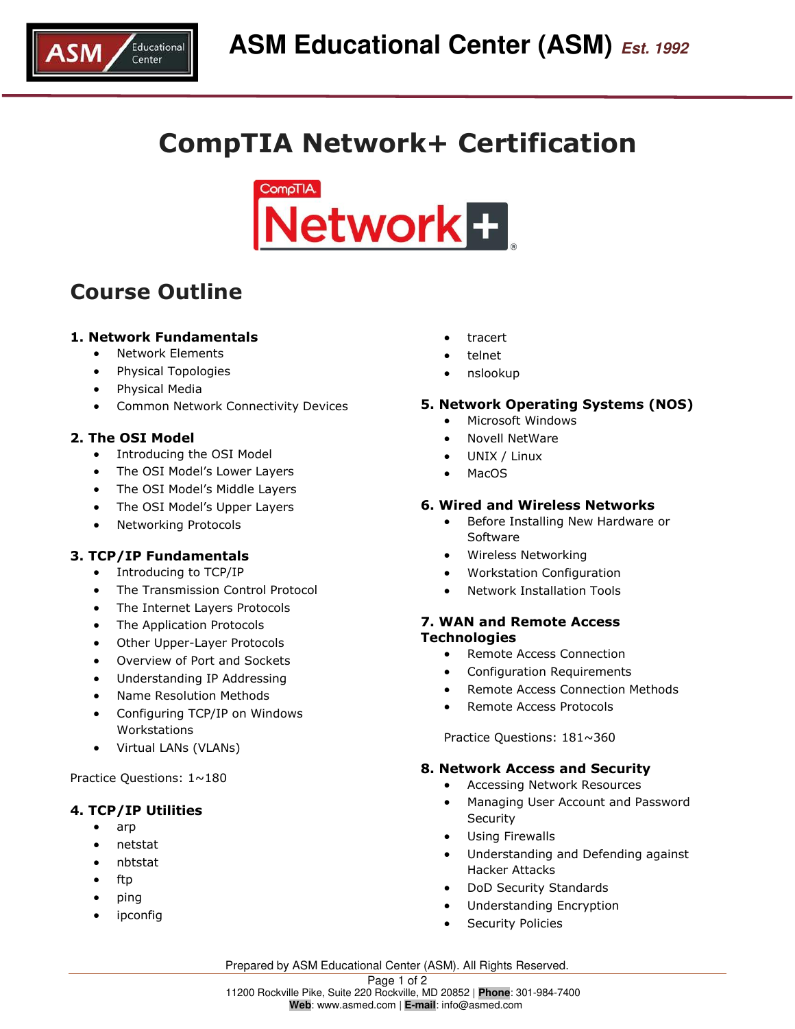

# **CompTIA Network+ Certification**



## **Course Outline**

#### **1. Network Fundamentals**

- Network Elements
- Physical Topologies
- Physical Media
- Common Network Connectivity Devices

#### **2. The OSI Model**

- Introducing the OSI Model
- The OSI Model's Lower Layers
- The OSI Model's Middle Layers
- The OSI Model's Upper Layers
- Networking Protocols

### **3. TCP/IP Fundamentals**

- Introducing to TCP/IP
- The Transmission Control Protocol
- The Internet Layers Protocols
- The Application Protocols
- Other Upper-Layer Protocols
- Overview of Port and Sockets
- Understanding IP Addressing
- Name Resolution Methods
- Configuring TCP/IP on Windows Workstations
- Virtual LANs (VLANs)

Practice Questions: 1~180

#### **4. TCP/IP Utilities**

- arp
- netstat
- nbtstat
- $\bullet$  ftp
- ping
- ipconfig
- tracert
- telnet
- nslookup

#### **5. Network Operating Systems (NOS)**

- Microsoft Windows
- Novell NetWare
- UNIX / Linux
- MacOS

#### **6. Wired and Wireless Networks**

- Before Installing New Hardware or Software
- Wireless Networking
- Workstation Configuration
- Network Installation Tools

#### **7. WAN and Remote Access Technologies**

- Remote Access Connection
- Configuration Requirements
- Remote Access Connection Methods
- Remote Access Protocols

Practice Questions: 181~360

#### **8. Network Access and Security**

- Accessing Network Resources
- Managing User Account and Password Security
- Using Firewalls
- Understanding and Defending against Hacker Attacks
- DoD Security Standards
- Understanding Encryption
- Security Policies

Prepared by ASM Educational Center (ASM). All Rights Reserved.